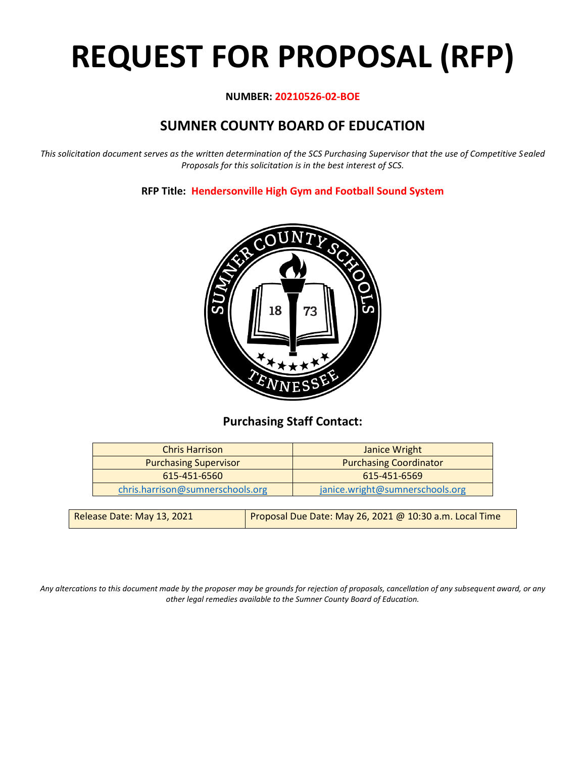# **REQUEST FOR PROPOSAL (RFP)**

## **NUMBER: 20210526-02-BOE**

# **SUMNER COUNTY BOARD OF EDUCATION**

*This solicitation document serves as the written determination of the SCS Purchasing Supervisor that the use of Competitive Sealed Proposals for this solicitation is in the best interest of SCS.*

## **RFP Title: Hendersonville High Gym and Football Sound System**



# **Purchasing Staff Contact:**

| <b>Chris Harrison</b>            | Janice Wright                   |
|----------------------------------|---------------------------------|
| <b>Purchasing Supervisor</b>     | <b>Purchasing Coordinator</b>   |
| 615-451-6560                     | 615-451-6569                    |
| chris.harrison@sumnerschools.org | janice.wright@sumnerschools.org |
|                                  |                                 |

| Release Date: May 13, 2021 | Proposal Due Date: May 26, 2021 @ 10:30 a.m. Local Time |
|----------------------------|---------------------------------------------------------|
|----------------------------|---------------------------------------------------------|

*Any altercations to this document made by the proposer may be grounds for rejection of proposals, cancellation of any subsequent award, or any other legal remedies available to the Sumner County Board of Education.*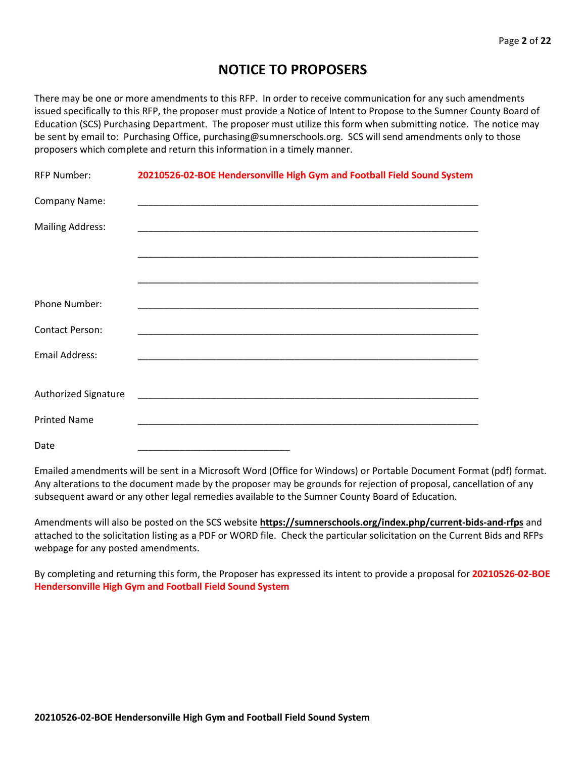# **NOTICE TO PROPOSERS**

There may be one or more amendments to this RFP. In order to receive communication for any such amendments issued specifically to this RFP, the proposer must provide a Notice of Intent to Propose to the Sumner County Board of Education (SCS) Purchasing Department. The proposer must utilize this form when submitting notice. The notice may be sent by email to: Purchasing Office, purchasing@sumnerschools.org. SCS will send amendments only to those proposers which complete and return this information in a timely manner.

| <b>RFP Number:</b>          | 20210526-02-BOE Hendersonville High Gym and Football Field Sound System                                               |
|-----------------------------|-----------------------------------------------------------------------------------------------------------------------|
| Company Name:               |                                                                                                                       |
| <b>Mailing Address:</b>     |                                                                                                                       |
|                             | <u> 1989 - Johann Stoff, deutscher Stoff, der Stoff, der Stoff, der Stoff, der Stoff, der Stoff, der Stoff, der S</u> |
|                             |                                                                                                                       |
| Phone Number:               |                                                                                                                       |
| <b>Contact Person:</b>      |                                                                                                                       |
| <b>Email Address:</b>       |                                                                                                                       |
|                             |                                                                                                                       |
| <b>Authorized Signature</b> |                                                                                                                       |
| <b>Printed Name</b>         | <u> 1989 - Johann Stoff, amerikansk politiker (d. 1989)</u>                                                           |
| Date                        |                                                                                                                       |

Emailed amendments will be sent in a Microsoft Word (Office for Windows) or Portable Document Format (pdf) format. Any alterations to the document made by the proposer may be grounds for rejection of proposal, cancellation of any subsequent award or any other legal remedies available to the Sumner County Board of Education.

Amendments will also be posted on the SCS website **https://sumnerschools.org/index.php/current-bids-and-rfps** and attached to the solicitation listing as a PDF or WORD file. Check the particular solicitation on the Current Bids and RFPs webpage for any posted amendments.

By completing and returning this form, the Proposer has expressed its intent to provide a proposal for **20210526-02-BOE Hendersonville High Gym and Football Field Sound System**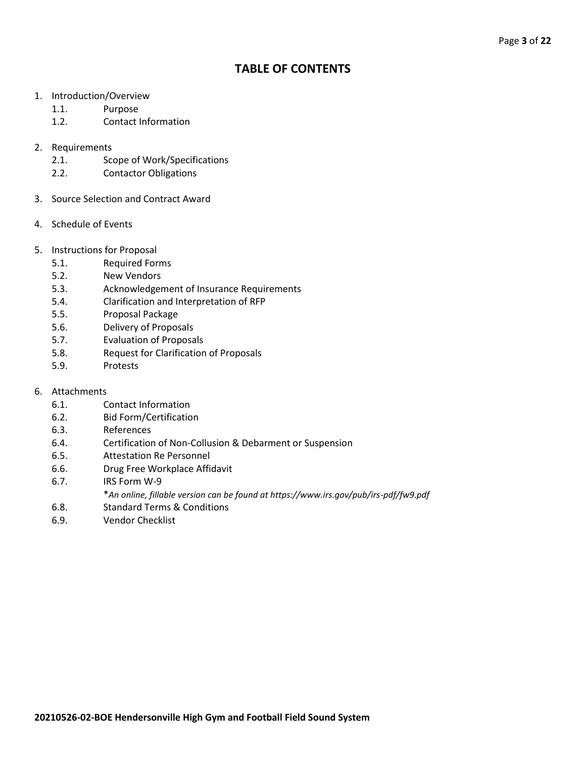# **TABLE OF CONTENTS**

- 1. Introduction/Overview
	- 1.1. Purpose
	- 1.2. Contact Information
- 2. Requirements
	- 2.1. Scope of Work/Specifications
	- 2.2. Contactor Obligations
- 3. Source Selection and Contract Award
- 4. Schedule of Events
- 5. Instructions for Proposal
	- 5.1. Required Forms
	- 5.2. New Vendors
	- 5.3. Acknowledgement of Insurance Requirements
	- 5.4. Clarification and Interpretation of RFP
	- 5.5. Proposal Package
	- 5.6. Delivery of Proposals
	- 5.7. Evaluation of Proposals
	- 5.8. Request for Clarification of Proposals
	- 5.9. Protests
- 6. Attachments
	- 6.1. Contact Information
	- 6.2. Bid Form/Certification
	- 6.3. References
	- 6.4. Certification of Non-Collusion & Debarment or Suspension
	- 6.5. Attestation Re Personnel
	- 6.6. Drug Free Workplace Affidavit
	- 6.7. IRS Form W-9
		- \**An online, fillable version can be found at https://www.irs.gov/pub/irs-pdf/fw9.pdf*
	- 6.8. Standard Terms & Conditions
	- 6.9. Vendor Checklist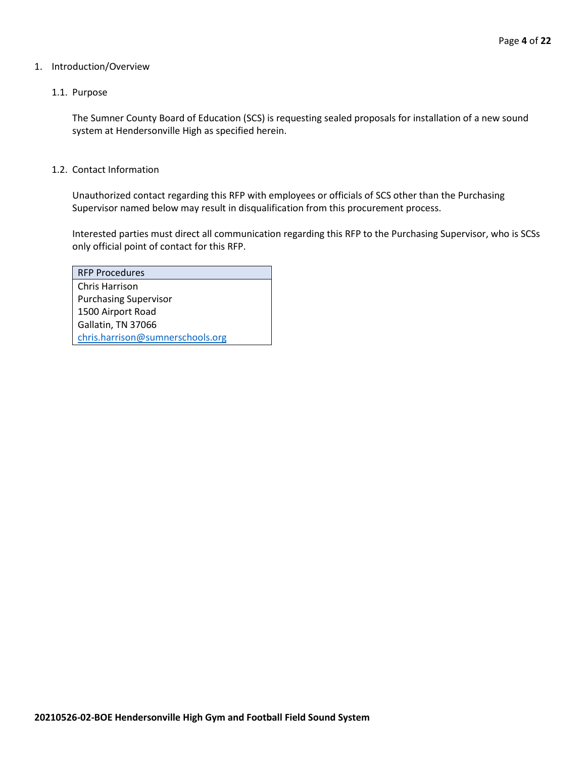#### 1. Introduction/Overview

## 1.1. Purpose

The Sumner County Board of Education (SCS) is requesting sealed proposals for installation of a new sound system at Hendersonville High as specified herein.

#### 1.2. Contact Information

Unauthorized contact regarding this RFP with employees or officials of SCS other than the Purchasing Supervisor named below may result in disqualification from this procurement process.

Interested parties must direct all communication regarding this RFP to the Purchasing Supervisor, who is SCSs only official point of contact for this RFP.

| <b>RFP Procedures</b>            |
|----------------------------------|
| Chris Harrison                   |
| <b>Purchasing Supervisor</b>     |
| 1500 Airport Road                |
| Gallatin, TN 37066               |
| chris.harrison@sumnerschools.org |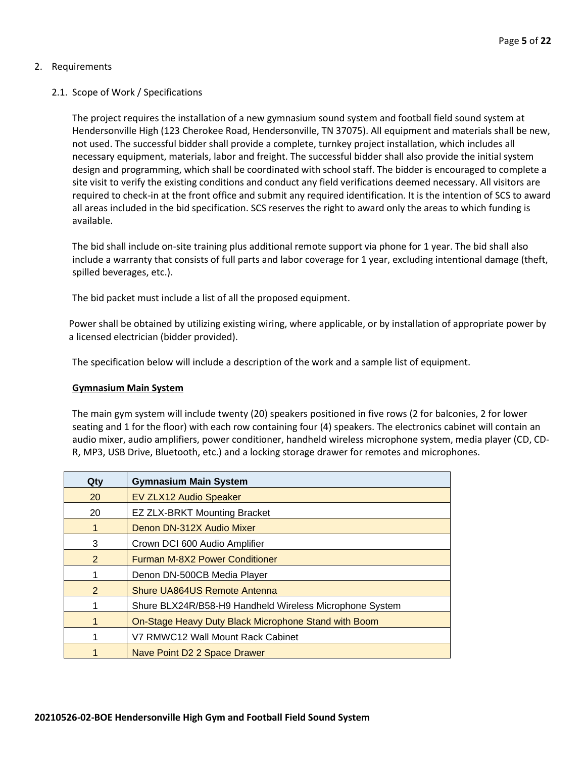## 2. Requirements

## 2.1. Scope of Work / Specifications

The project requires the installation of a new gymnasium sound system and football field sound system at Hendersonville High (123 Cherokee Road, Hendersonville, TN 37075). All equipment and materials shall be new, not used. The successful bidder shall provide a complete, turnkey project installation, which includes all necessary equipment, materials, labor and freight. The successful bidder shall also provide the initial system design and programming, which shall be coordinated with school staff. The bidder is encouraged to complete a site visit to verify the existing conditions and conduct any field verifications deemed necessary. All visitors are required to check-in at the front office and submit any required identification. It is the intention of SCS to award all areas included in the bid specification. SCS reserves the right to award only the areas to which funding is available.

The bid shall include on-site training plus additional remote support via phone for 1 year. The bid shall also include a warranty that consists of full parts and labor coverage for 1 year, excluding intentional damage (theft, spilled beverages, etc.).

The bid packet must include a list of all the proposed equipment.

Power shall be obtained by utilizing existing wiring, where applicable, or by installation of appropriate power by a licensed electrician (bidder provided).

The specification below will include a description of the work and a sample list of equipment.

## **Gymnasium Main System**

The main gym system will include twenty (20) speakers positioned in five rows (2 for balconies, 2 for lower seating and 1 for the floor) with each row containing four (4) speakers. The electronics cabinet will contain an audio mixer, audio amplifiers, power conditioner, handheld wireless microphone system, media player (CD, CD-R, MP3, USB Drive, Bluetooth, etc.) and a locking storage drawer for remotes and microphones.

| Qty            | <b>Gymnasium Main System</b>                            |  |
|----------------|---------------------------------------------------------|--|
| 20             | EV ZLX12 Audio Speaker                                  |  |
| 20             | <b>EZ ZLX-BRKT Mounting Bracket</b>                     |  |
| 1              | Denon DN-312X Audio Mixer                               |  |
| 3              | Crown DCI 600 Audio Amplifier                           |  |
| 2              | <b>Furman M-8X2 Power Conditioner</b>                   |  |
| 1              | Denon DN-500CB Media Player                             |  |
| $\overline{2}$ | Shure UA864US Remote Antenna                            |  |
|                | Shure BLX24R/B58-H9 Handheld Wireless Microphone System |  |
| 1              | On-Stage Heavy Duty Black Microphone Stand with Boom    |  |
|                | V7 RMWC12 Wall Mount Rack Cabinet                       |  |
|                | Nave Point D2 2 Space Drawer                            |  |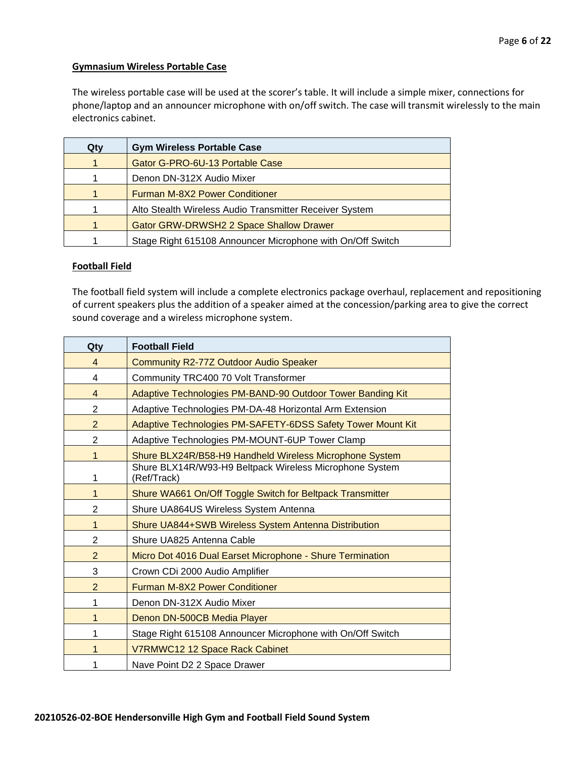## **Gymnasium Wireless Portable Case**

The wireless portable case will be used at the scorer's table. It will include a simple mixer, connections for phone/laptop and an announcer microphone with on/off switch. The case will transmit wirelessly to the main electronics cabinet.

| Qty | <b>Gym Wireless Portable Case</b>                          |  |
|-----|------------------------------------------------------------|--|
| 1   | Gator G-PRO-6U-13 Portable Case                            |  |
|     | Denon DN-312X Audio Mixer                                  |  |
|     | <b>Furman M-8X2 Power Conditioner</b>                      |  |
|     | Alto Stealth Wireless Audio Transmitter Receiver System    |  |
|     | <b>Gator GRW-DRWSH2 2 Space Shallow Drawer</b>             |  |
|     | Stage Right 615108 Announcer Microphone with On/Off Switch |  |

## **Football Field**

The football field system will include a complete electronics package overhaul, replacement and repositioning of current speakers plus the addition of a speaker aimed at the concession/parking area to give the correct sound coverage and a wireless microphone system.

| Qty            | <b>Football Field</b>                                                  |  |
|----------------|------------------------------------------------------------------------|--|
| 4              | Community R2-77Z Outdoor Audio Speaker                                 |  |
| 4              | Community TRC400 70 Volt Transformer                                   |  |
| $\overline{4}$ | Adaptive Technologies PM-BAND-90 Outdoor Tower Banding Kit             |  |
| 2              | Adaptive Technologies PM-DA-48 Horizontal Arm Extension                |  |
| $\overline{2}$ | Adaptive Technologies PM-SAFETY-6DSS Safety Tower Mount Kit            |  |
| 2              | Adaptive Technologies PM-MOUNT-6UP Tower Clamp                         |  |
| 1              | Shure BLX24R/B58-H9 Handheld Wireless Microphone System                |  |
| 1              | Shure BLX14R/W93-H9 Beltpack Wireless Microphone System<br>(Ref/Track) |  |
| 1              | Shure WA661 On/Off Toggle Switch for Beltpack Transmitter              |  |
| 2              | Shure UA864US Wireless System Antenna                                  |  |
| 1              | Shure UA844+SWB Wireless System Antenna Distribution                   |  |
| 2              | Shure UA825 Antenna Cable                                              |  |
| $\overline{2}$ | Micro Dot 4016 Dual Earset Microphone - Shure Termination              |  |
| 3              | Crown CDi 2000 Audio Amplifier                                         |  |
| $\overline{2}$ | <b>Furman M-8X2 Power Conditioner</b>                                  |  |
| 1              | Denon DN-312X Audio Mixer                                              |  |
| 1              | Denon DN-500CB Media Player                                            |  |
| 1              | Stage Right 615108 Announcer Microphone with On/Off Switch             |  |
| 1              | V7RMWC12 12 Space Rack Cabinet                                         |  |
| 1              | Nave Point D2 2 Space Drawer                                           |  |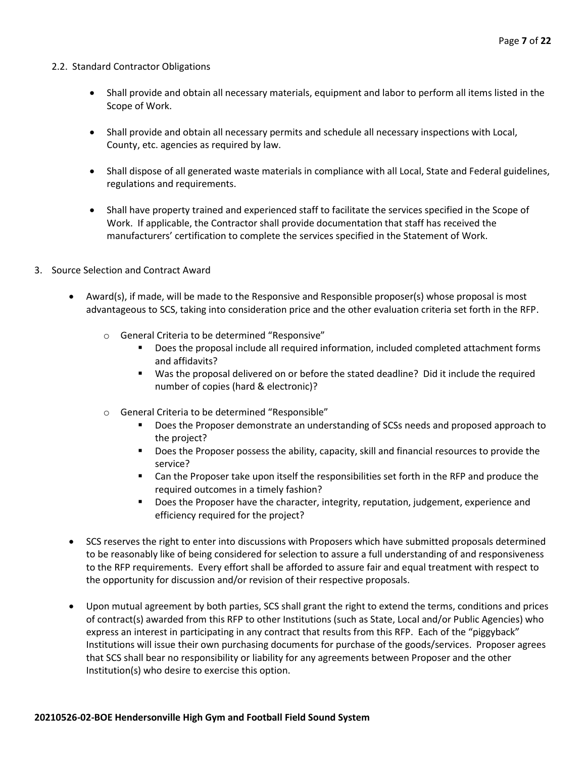### 2.2. Standard Contractor Obligations

- Shall provide and obtain all necessary materials, equipment and labor to perform all items listed in the Scope of Work.
- Shall provide and obtain all necessary permits and schedule all necessary inspections with Local, County, etc. agencies as required by law.
- Shall dispose of all generated waste materials in compliance with all Local, State and Federal guidelines, regulations and requirements.
- Shall have property trained and experienced staff to facilitate the services specified in the Scope of Work. If applicable, the Contractor shall provide documentation that staff has received the manufacturers' certification to complete the services specified in the Statement of Work.
- 3. Source Selection and Contract Award
	- Award(s), if made, will be made to the Responsive and Responsible proposer(s) whose proposal is most advantageous to SCS, taking into consideration price and the other evaluation criteria set forth in the RFP.
		- o General Criteria to be determined "Responsive"
			- Does the proposal include all required information, included completed attachment forms and affidavits?
			- Was the proposal delivered on or before the stated deadline? Did it include the required number of copies (hard & electronic)?
		- o General Criteria to be determined "Responsible"
			- Does the Proposer demonstrate an understanding of SCSs needs and proposed approach to the project?
			- Does the Proposer possess the ability, capacity, skill and financial resources to provide the service?
			- Can the Proposer take upon itself the responsibilities set forth in the RFP and produce the required outcomes in a timely fashion?
			- Does the Proposer have the character, integrity, reputation, judgement, experience and efficiency required for the project?
	- SCS reserves the right to enter into discussions with Proposers which have submitted proposals determined to be reasonably like of being considered for selection to assure a full understanding of and responsiveness to the RFP requirements. Every effort shall be afforded to assure fair and equal treatment with respect to the opportunity for discussion and/or revision of their respective proposals.
	- Upon mutual agreement by both parties, SCS shall grant the right to extend the terms, conditions and prices of contract(s) awarded from this RFP to other Institutions (such as State, Local and/or Public Agencies) who express an interest in participating in any contract that results from this RFP. Each of the "piggyback" Institutions will issue their own purchasing documents for purchase of the goods/services. Proposer agrees that SCS shall bear no responsibility or liability for any agreements between Proposer and the other Institution(s) who desire to exercise this option.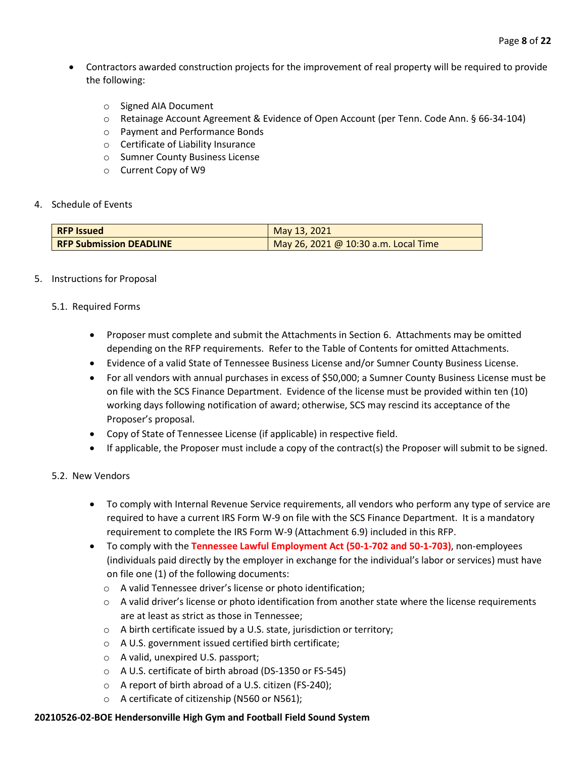- Contractors awarded construction projects for the improvement of real property will be required to provide the following:
	- o Signed AIA Document
	- o Retainage Account Agreement & Evidence of Open Account (per Tenn. Code Ann. § 66-34-104)
	- o Payment and Performance Bonds
	- o Certificate of Liability Insurance
	- o Sumner County Business License
	- o Current Copy of W9

### 4. Schedule of Events

| <b>RFP Issued</b>              | May 13, 2021                         |  |
|--------------------------------|--------------------------------------|--|
| <b>RFP Submission DEADLINE</b> | May 26, 2021 @ 10:30 a.m. Local Time |  |

## 5. Instructions for Proposal

## 5.1. Required Forms

- Proposer must complete and submit the Attachments in Section 6. Attachments may be omitted depending on the RFP requirements. Refer to the Table of Contents for omitted Attachments.
- Evidence of a valid State of Tennessee Business License and/or Sumner County Business License.
- For all vendors with annual purchases in excess of \$50,000; a Sumner County Business License must be on file with the SCS Finance Department. Evidence of the license must be provided within ten (10) working days following notification of award; otherwise, SCS may rescind its acceptance of the Proposer's proposal.
- Copy of State of Tennessee License (if applicable) in respective field.
- If applicable, the Proposer must include a copy of the contract(s) the Proposer will submit to be signed.

## 5.2. New Vendors

- To comply with Internal Revenue Service requirements, all vendors who perform any type of service are required to have a current IRS Form W-9 on file with the SCS Finance Department. It is a mandatory requirement to complete the IRS Form W-9 (Attachment 6.9) included in this RFP.
- To comply with the **Tennessee Lawful Employment Act (50-1-702 and 50-1-703)**, non-employees (individuals paid directly by the employer in exchange for the individual's labor or services) must have on file one (1) of the following documents:
	- o A valid Tennessee driver's license or photo identification;
	- $\circ$  A valid driver's license or photo identification from another state where the license requirements are at least as strict as those in Tennessee;
	- o A birth certificate issued by a U.S. state, jurisdiction or territory;
	- o A U.S. government issued certified birth certificate;
	- o A valid, unexpired U.S. passport;
	- o A U.S. certificate of birth abroad (DS-1350 or FS-545)
	- o A report of birth abroad of a U.S. citizen (FS-240);
	- o A certificate of citizenship (N560 or N561);

## **20210526-02-BOE Hendersonville High Gym and Football Field Sound System**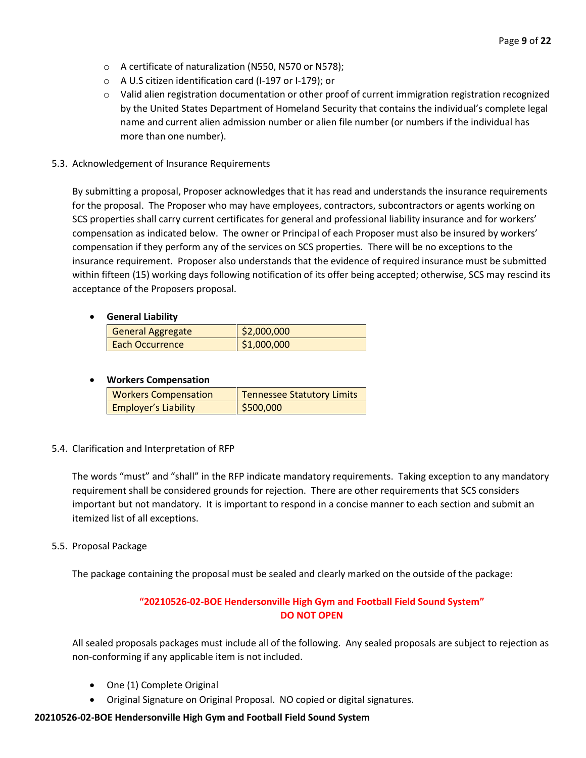- o A certificate of naturalization (N550, N570 or N578);
- o A U.S citizen identification card (I-197 or I-179); or
- o Valid alien registration documentation or other proof of current immigration registration recognized by the United States Department of Homeland Security that contains the individual's complete legal name and current alien admission number or alien file number (or numbers if the individual has more than one number).
- 5.3. Acknowledgement of Insurance Requirements

By submitting a proposal, Proposer acknowledges that it has read and understands the insurance requirements for the proposal. The Proposer who may have employees, contractors, subcontractors or agents working on SCS properties shall carry current certificates for general and professional liability insurance and for workers' compensation as indicated below. The owner or Principal of each Proposer must also be insured by workers' compensation if they perform any of the services on SCS properties. There will be no exceptions to the insurance requirement. Proposer also understands that the evidence of required insurance must be submitted within fifteen (15) working days following notification of its offer being accepted; otherwise, SCS may rescind its acceptance of the Proposers proposal.

## • **General Liability**

| <b>General Aggregate</b> | \$2,000,000 |
|--------------------------|-------------|
| <b>Each Occurrence</b>   | \$1,000,000 |

## • **Workers Compensation**

| <b>Workers Compensation</b> | <b>Tennessee Statutory Limits</b> |
|-----------------------------|-----------------------------------|
| <b>Employer's Liability</b> | \$500,000                         |

## 5.4. Clarification and Interpretation of RFP

The words "must" and "shall" in the RFP indicate mandatory requirements. Taking exception to any mandatory requirement shall be considered grounds for rejection. There are other requirements that SCS considers important but not mandatory. It is important to respond in a concise manner to each section and submit an itemized list of all exceptions.

## 5.5. Proposal Package

The package containing the proposal must be sealed and clearly marked on the outside of the package:

## **"20210526-02-BOE Hendersonville High Gym and Football Field Sound System" DO NOT OPEN**

All sealed proposals packages must include all of the following. Any sealed proposals are subject to rejection as non-conforming if any applicable item is not included.

- One (1) Complete Original
- Original Signature on Original Proposal. NO copied or digital signatures.

## **20210526-02-BOE Hendersonville High Gym and Football Field Sound System**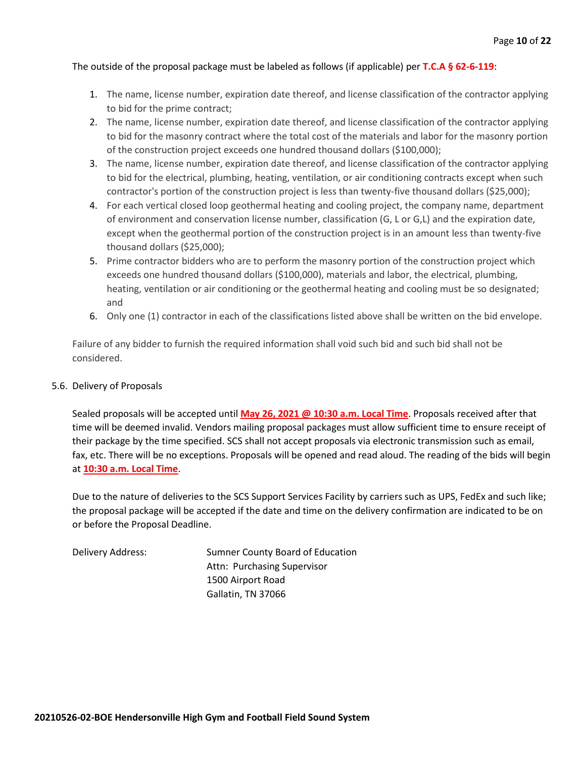## The outside of the proposal package must be labeled as follows (if applicable) per **T.C.A § 62-6-119**:

- 1. The name, license number, expiration date thereof, and license classification of the contractor applying to bid for the prime contract;
- 2. The name, license number, expiration date thereof, and license classification of the contractor applying to bid for the masonry contract where the total cost of the materials and labor for the masonry portion of the construction project exceeds one hundred thousand dollars (\$100,000);
- 3. The name, license number, expiration date thereof, and license classification of the contractor applying to bid for the electrical, plumbing, heating, ventilation, or air conditioning contracts except when such contractor's portion of the construction project is less than twenty-five thousand dollars (\$25,000);
- 4. For each vertical closed loop geothermal heating and cooling project, the company name, department of environment and conservation license number, classification (G, L or G,L) and the expiration date, except when the geothermal portion of the construction project is in an amount less than twenty-five thousand dollars (\$25,000);
- 5. Prime contractor bidders who are to perform the masonry portion of the construction project which exceeds one hundred thousand dollars (\$100,000), materials and labor, the electrical, plumbing, heating, ventilation or air conditioning or the geothermal heating and cooling must be so designated; and
- 6. Only one (1) contractor in each of the classifications listed above shall be written on the bid envelope.

Failure of any bidder to furnish the required information shall void such bid and such bid shall not be considered.

#### 5.6. Delivery of Proposals

Sealed proposals will be accepted until **May 26, 2021 @ 10:30 a.m. Local Time**. Proposals received after that time will be deemed invalid. Vendors mailing proposal packages must allow sufficient time to ensure receipt of their package by the time specified. SCS shall not accept proposals via electronic transmission such as email, fax, etc. There will be no exceptions. Proposals will be opened and read aloud. The reading of the bids will begin at **10:30 a.m. Local Time**.

Due to the nature of deliveries to the SCS Support Services Facility by carriers such as UPS, FedEx and such like; the proposal package will be accepted if the date and time on the delivery confirmation are indicated to be on or before the Proposal Deadline.

Delivery Address: Sumner County Board of Education Attn: Purchasing Supervisor 1500 Airport Road Gallatin, TN 37066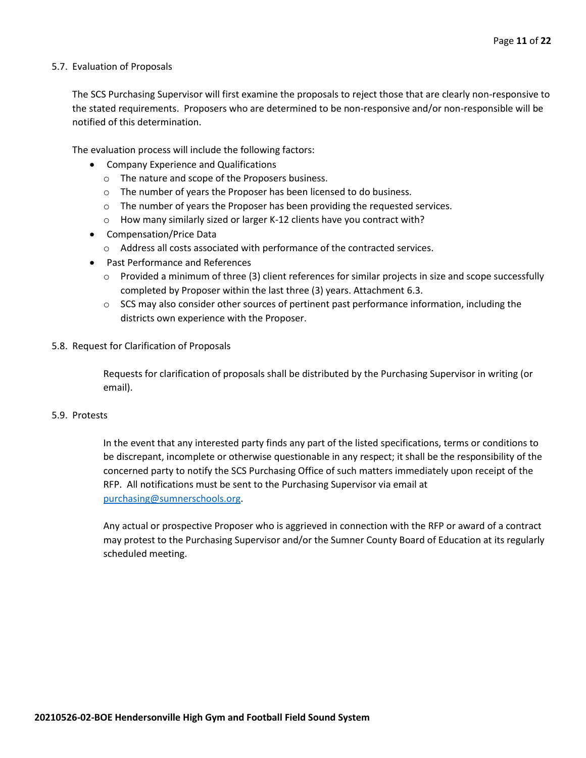#### 5.7. Evaluation of Proposals

The SCS Purchasing Supervisor will first examine the proposals to reject those that are clearly non-responsive to the stated requirements. Proposers who are determined to be non-responsive and/or non-responsible will be notified of this determination.

The evaluation process will include the following factors:

- Company Experience and Qualifications
	- o The nature and scope of the Proposers business.
	- $\circ$  The number of years the Proposer has been licensed to do business.
	- $\circ$  The number of years the Proposer has been providing the requested services.
	- o How many similarly sized or larger K-12 clients have you contract with?
- Compensation/Price Data
	- o Address all costs associated with performance of the contracted services.
- Past Performance and References
	- $\circ$  Provided a minimum of three (3) client references for similar projects in size and scope successfully completed by Proposer within the last three (3) years. Attachment 6.3.
	- $\circ$  SCS may also consider other sources of pertinent past performance information, including the districts own experience with the Proposer.
- 5.8. Request for Clarification of Proposals

Requests for clarification of proposals shall be distributed by the Purchasing Supervisor in writing (or email).

## 5.9. Protests

In the event that any interested party finds any part of the listed specifications, terms or conditions to be discrepant, incomplete or otherwise questionable in any respect; it shall be the responsibility of the concerned party to notify the SCS Purchasing Office of such matters immediately upon receipt of the RFP. All notifications must be sent to the Purchasing Supervisor via email at [purchasing@sumnerschools.org.](mailto:purchasing@sumnerschools.org)

Any actual or prospective Proposer who is aggrieved in connection with the RFP or award of a contract may protest to the Purchasing Supervisor and/or the Sumner County Board of Education at its regularly scheduled meeting.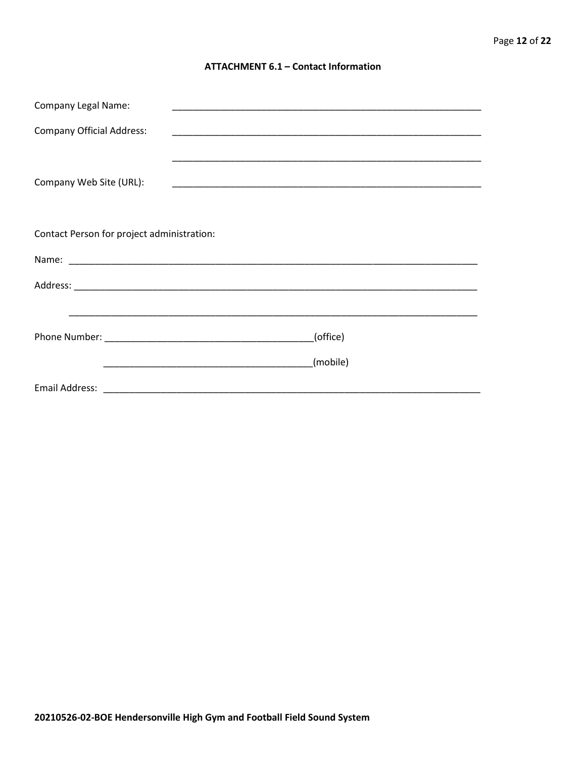## **ATTACHMENT 6.1 - Contact Information**

| <b>Company Legal Name:</b>                 |  |          |  |
|--------------------------------------------|--|----------|--|
| <b>Company Official Address:</b>           |  |          |  |
|                                            |  |          |  |
|                                            |  |          |  |
| Company Web Site (URL):                    |  |          |  |
|                                            |  |          |  |
| Contact Person for project administration: |  |          |  |
|                                            |  |          |  |
|                                            |  |          |  |
|                                            |  |          |  |
|                                            |  | (office) |  |
|                                            |  | (mobile) |  |
|                                            |  |          |  |
|                                            |  |          |  |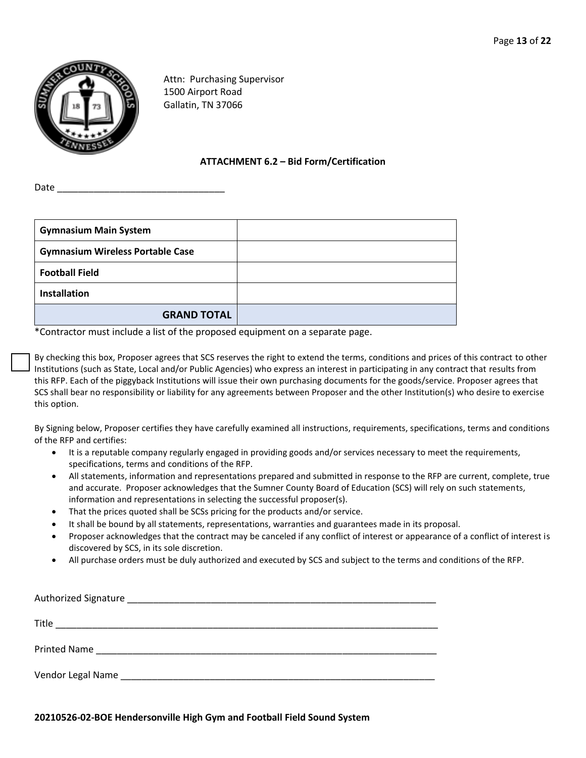

Attn: Purchasing Supervisor 1500 Airport Road Gallatin, TN 37066

## **ATTACHMENT 6.2 – Bid Form/Certification**

Date \_\_\_\_\_\_\_\_\_\_\_\_\_\_\_\_\_\_\_\_\_\_\_\_\_\_\_\_\_\_\_\_

| <b>Gymnasium Main System</b>            |  |
|-----------------------------------------|--|
| <b>Gymnasium Wireless Portable Case</b> |  |
| <b>Football Field</b>                   |  |
| <b>Installation</b>                     |  |
| <b>GRAND TOTAL</b>                      |  |

\*Contractor must include a list of the proposed equipment on a separate page.

By checking this box, Proposer agrees that SCS reserves the right to extend the terms, conditions and prices of this contract to other Institutions (such as State, Local and/or Public Agencies) who express an interest in participating in any contract that results from this RFP. Each of the piggyback Institutions will issue their own purchasing documents for the goods/service. Proposer agrees that SCS shall bear no responsibility or liability for any agreements between Proposer and the other Institution(s) who desire to exercise this option.

By Signing below, Proposer certifies they have carefully examined all instructions, requirements, specifications, terms and conditions of the RFP and certifies:

- It is a reputable company regularly engaged in providing goods and/or services necessary to meet the requirements, specifications, terms and conditions of the RFP.
- All statements, information and representations prepared and submitted in response to the RFP are current, complete, true and accurate. Proposer acknowledges that the Sumner County Board of Education (SCS) will rely on such statements, information and representations in selecting the successful proposer(s).
- That the prices quoted shall be SCSs pricing for the products and/or service.
- It shall be bound by all statements, representations, warranties and guarantees made in its proposal.
- Proposer acknowledges that the contract may be canceled if any conflict of interest or appearance of a conflict of interest is discovered by SCS, in its sole discretion.
- All purchase orders must be duly authorized and executed by SCS and subject to the terms and conditions of the RFP.

| Title<br><u> 1989 - Johann John Stone, Amerikaansk politiker (* 1908)</u> |  |  |  |  |
|---------------------------------------------------------------------------|--|--|--|--|
|                                                                           |  |  |  |  |
|                                                                           |  |  |  |  |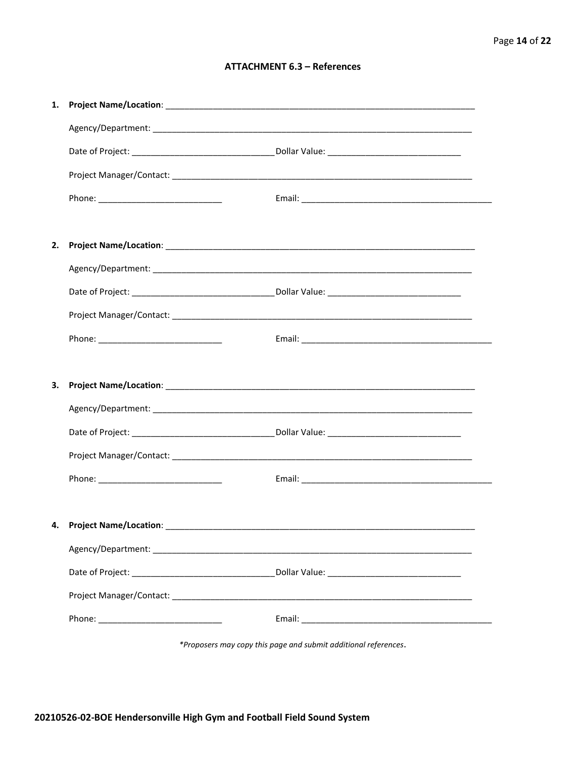## **ATTACHMENT 6.3 - References**

| 1. |                                    |  |
|----|------------------------------------|--|
|    |                                    |  |
|    |                                    |  |
|    |                                    |  |
|    |                                    |  |
|    |                                    |  |
| 2. |                                    |  |
|    |                                    |  |
|    |                                    |  |
|    |                                    |  |
|    |                                    |  |
|    |                                    |  |
| З. |                                    |  |
|    |                                    |  |
|    |                                    |  |
|    |                                    |  |
|    |                                    |  |
|    |                                    |  |
|    | 4. Project Name/Location: ________ |  |
|    |                                    |  |
|    |                                    |  |
|    |                                    |  |
|    |                                    |  |
|    |                                    |  |

\*Proposers may copy this page and submit additional references.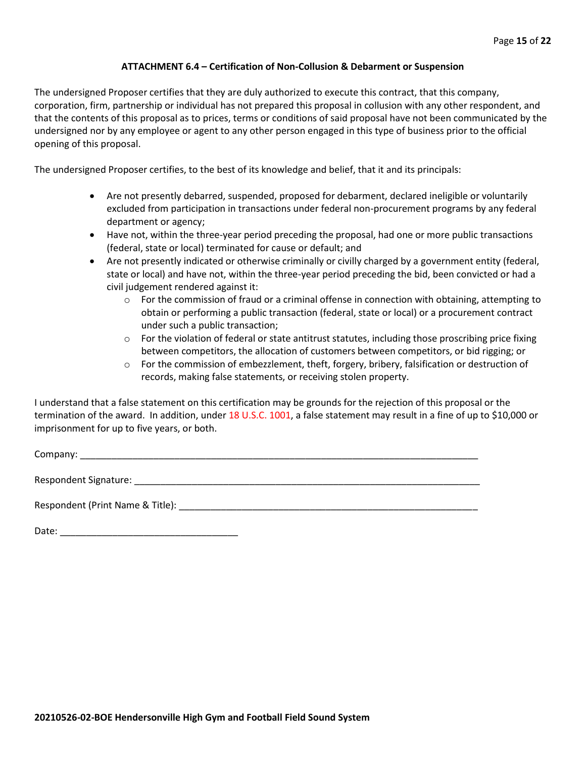## **ATTACHMENT 6.4 – Certification of Non-Collusion & Debarment or Suspension**

The undersigned Proposer certifies that they are duly authorized to execute this contract, that this company, corporation, firm, partnership or individual has not prepared this proposal in collusion with any other respondent, and that the contents of this proposal as to prices, terms or conditions of said proposal have not been communicated by the undersigned nor by any employee or agent to any other person engaged in this type of business prior to the official opening of this proposal.

The undersigned Proposer certifies, to the best of its knowledge and belief, that it and its principals:

- Are not presently debarred, suspended, proposed for debarment, declared ineligible or voluntarily excluded from participation in transactions under federal non-procurement programs by any federal department or agency;
- Have not, within the three-year period preceding the proposal, had one or more public transactions (federal, state or local) terminated for cause or default; and
- Are not presently indicated or otherwise criminally or civilly charged by a government entity (federal, state or local) and have not, within the three-year period preceding the bid, been convicted or had a civil judgement rendered against it:
	- $\circ$  For the commission of fraud or a criminal offense in connection with obtaining, attempting to obtain or performing a public transaction (federal, state or local) or a procurement contract under such a public transaction;
	- $\circ$  For the violation of federal or state antitrust statutes, including those proscribing price fixing between competitors, the allocation of customers between competitors, or bid rigging; or
	- $\circ$  For the commission of embezzlement, theft, forgery, bribery, falsification or destruction of records, making false statements, or receiving stolen property.

I understand that a false statement on this certification may be grounds for the rejection of this proposal or the termination of the award. In addition, under 18 U.S.C. 1001, a false statement may result in a fine of up to \$10,000 or imprisonment for up to five years, or both.

Company:

Respondent Signature: \_\_\_\_\_\_\_\_\_\_\_\_\_\_\_\_\_\_\_\_\_\_\_\_\_\_\_\_\_\_\_\_\_\_\_\_\_\_\_\_\_\_\_\_\_\_\_\_\_\_\_\_\_\_\_\_\_\_\_\_\_\_\_\_\_\_

Respondent (Print Name & Title): \_\_\_\_\_\_\_\_\_\_\_\_\_\_\_\_\_\_\_\_\_\_\_\_\_\_\_\_\_\_\_\_\_\_\_\_\_\_\_\_\_\_\_\_\_\_\_\_\_\_\_\_\_\_\_\_\_

Date: \_\_\_\_\_\_\_\_\_\_\_\_\_\_\_\_\_\_\_\_\_\_\_\_\_\_\_\_\_\_\_\_\_\_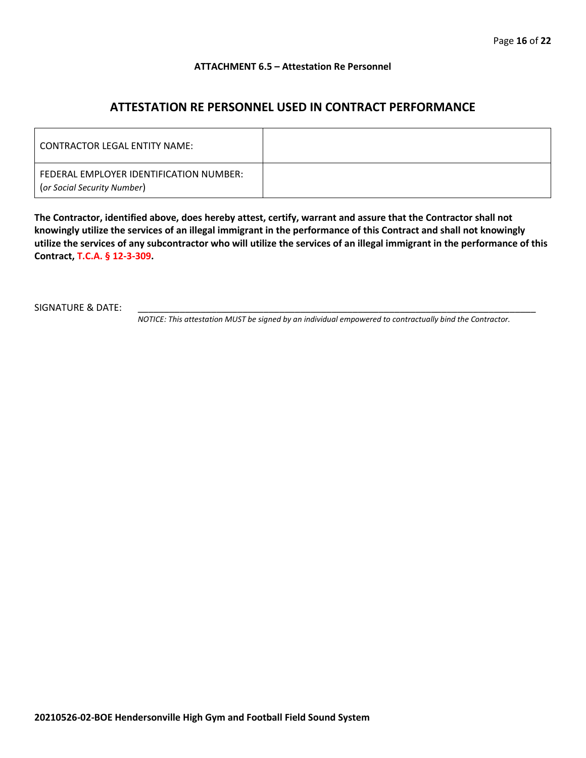### **ATTACHMENT 6.5 – Attestation Re Personnel**

## **ATTESTATION RE PERSONNEL USED IN CONTRACT PERFORMANCE**

| CONTRACTOR LEGAL ENTITY NAME:                                          |  |
|------------------------------------------------------------------------|--|
| FEDERAL EMPLOYER IDENTIFICATION NUMBER:<br>(or Social Security Number) |  |

**The Contractor, identified above, does hereby attest, certify, warrant and assure that the Contractor shall not knowingly utilize the services of an illegal immigrant in the performance of this Contract and shall not knowingly utilize the services of any subcontractor who will utilize the services of an illegal immigrant in the performance of this Contract, T.C.A. § 12-3-309.**

SIGNATURE & DATE:

*NOTICE: This attestation MUST be signed by an individual empowered to contractually bind the Contractor.*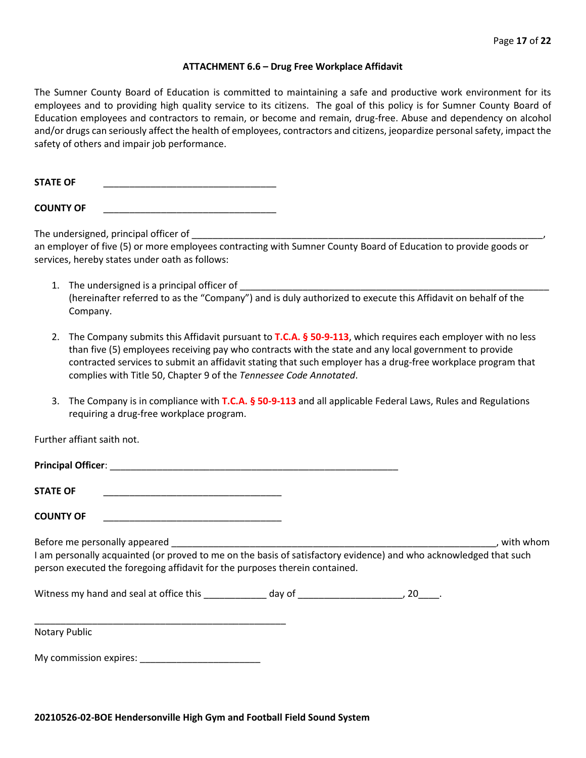#### **ATTACHMENT 6.6 – Drug Free Workplace Affidavit**

The Sumner County Board of Education is committed to maintaining a safe and productive work environment for its employees and to providing high quality service to its citizens. The goal of this policy is for Sumner County Board of Education employees and contractors to remain, or become and remain, drug-free. Abuse and dependency on alcohol and/or drugs can seriously affect the health of employees, contractors and citizens, jeopardize personal safety, impact the safety of others and impair job performance.

STATE OF

**COUNTY OF** \_\_\_\_\_\_\_\_\_\_\_\_\_\_\_\_\_\_\_\_\_\_\_\_\_\_\_\_\_\_\_\_\_

The undersigned, principal officer of

an employer of five (5) or more employees contracting with Sumner County Board of Education to provide goods or services, hereby states under oath as follows:

- 1. The undersigned is a principal officer of (hereinafter referred to as the "Company") and is duly authorized to execute this Affidavit on behalf of the Company.
- 2. The Company submits this Affidavit pursuant to **T.C.A. § 50-9-113**, which requires each employer with no less than five (5) employees receiving pay who contracts with the state and any local government to provide contracted services to submit an affidavit stating that such employer has a drug-free workplace program that complies with Title 50, Chapter 9 of the *Tennessee Code Annotated*.
- 3. The Company is in compliance with **T.C.A. § 50-9-113** and all applicable Federal Laws, Rules and Regulations requiring a drug-free workplace program.

Further affiant saith not.

| <b>Principal Officer:</b>                                                                                       |                                                                                                                   |           |
|-----------------------------------------------------------------------------------------------------------------|-------------------------------------------------------------------------------------------------------------------|-----------|
| <b>STATE OF</b>                                                                                                 |                                                                                                                   |           |
| <b>COUNTY OF</b>                                                                                                |                                                                                                                   |           |
| Before me personally appeared                                                                                   |                                                                                                                   | with whom |
| person executed the foregoing affidavit for the purposes therein contained.                                     | I am personally acquainted (or proved to me on the basis of satisfactory evidence) and who acknowledged that such |           |
| AA Character and the complex should be a find to the first state of the complete state of the complete state of | nn.                                                                                                               |           |

Witness my hand and seal at office this \_\_\_\_\_\_\_\_\_\_\_\_\_\_ day of \_\_\_\_\_\_\_\_\_\_\_\_\_\_\_\_\_\_\_\_\_\_\_\_\_, 20\_\_\_\_\_.

\_\_\_\_\_\_\_\_\_\_\_\_\_\_\_\_\_\_\_\_\_\_\_\_\_\_\_\_\_\_\_\_\_\_\_\_\_\_\_\_\_\_\_\_\_\_\_\_ Notary Public

My commission expires: **Example 20**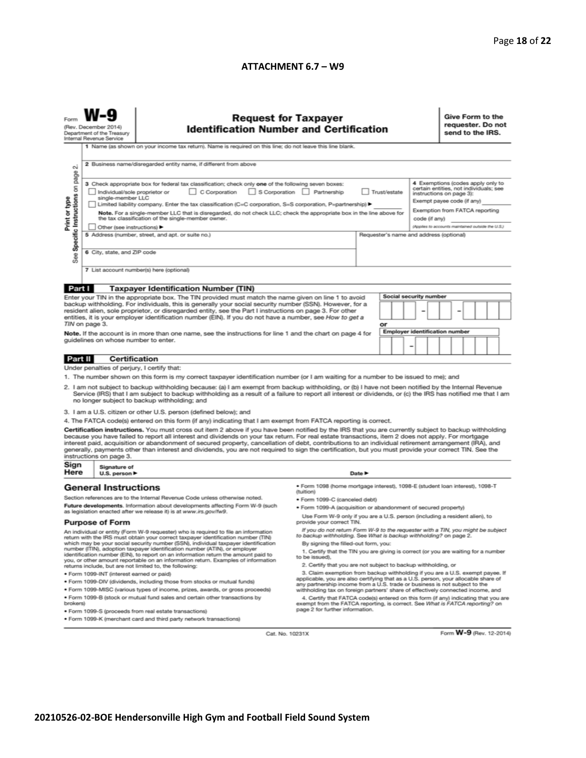## **ATTACHMENT 6.7 – W9**

|                                                                                                                                                                                                                                                                                                                                                                                                                                                                                                                                                                                                                                                                                                                                                                                                                                                                                                                                                                                                                                                                                                                                                                                                                                                                                                                                                                                                                                                                                                                                                                                                                                                                                                                                                                                                                                                                                                                                                                                                                                                                                                                                                                                                                                                                                                                                                                                                                                                                                                                                                               | <b>Request for Taxpayer</b><br>(Rev. December 2014)<br><b>Identification Number and Certification</b><br>Department of the Treasury<br>Internal Revenue Service<br>1 Name (as shown on your income tax return). Name is required on this line; do not leave this line blank.                                                                                                                                                                                                                                                                                                                                                                                                                                                                                                                                     |  |  |                                                                              |  |  | Give Form to the<br>requester. Do not<br>send to the IRS.                                                                                                                                                                    |  |  |  |  |  |
|---------------------------------------------------------------------------------------------------------------------------------------------------------------------------------------------------------------------------------------------------------------------------------------------------------------------------------------------------------------------------------------------------------------------------------------------------------------------------------------------------------------------------------------------------------------------------------------------------------------------------------------------------------------------------------------------------------------------------------------------------------------------------------------------------------------------------------------------------------------------------------------------------------------------------------------------------------------------------------------------------------------------------------------------------------------------------------------------------------------------------------------------------------------------------------------------------------------------------------------------------------------------------------------------------------------------------------------------------------------------------------------------------------------------------------------------------------------------------------------------------------------------------------------------------------------------------------------------------------------------------------------------------------------------------------------------------------------------------------------------------------------------------------------------------------------------------------------------------------------------------------------------------------------------------------------------------------------------------------------------------------------------------------------------------------------------------------------------------------------------------------------------------------------------------------------------------------------------------------------------------------------------------------------------------------------------------------------------------------------------------------------------------------------------------------------------------------------------------------------------------------------------------------------------------------------|------------------------------------------------------------------------------------------------------------------------------------------------------------------------------------------------------------------------------------------------------------------------------------------------------------------------------------------------------------------------------------------------------------------------------------------------------------------------------------------------------------------------------------------------------------------------------------------------------------------------------------------------------------------------------------------------------------------------------------------------------------------------------------------------------------------|--|--|------------------------------------------------------------------------------|--|--|------------------------------------------------------------------------------------------------------------------------------------------------------------------------------------------------------------------------------|--|--|--|--|--|
| $\sim$<br>Specific Instructions on page<br>Print or type<br>See                                                                                                                                                                                                                                                                                                                                                                                                                                                                                                                                                                                                                                                                                                                                                                                                                                                                                                                                                                                                                                                                                                                                                                                                                                                                                                                                                                                                                                                                                                                                                                                                                                                                                                                                                                                                                                                                                                                                                                                                                                                                                                                                                                                                                                                                                                                                                                                                                                                                                               | 2 Business name/disregarded entity name, if different from above<br>3 Check appropriate box for federal tax classification; check only one of the following seven boxes:<br>C Corporation S Corporation Partnership<br>Individual/sole proprietor or<br>Trust/estate<br>single-member LLC<br>Limited liability company. Enter the tax classification (C=C corporation, S=S corporation, P=partnership) ▶<br>Note. For a single-member LLC that is disregarded, do not check LLC; check the appropriate box in the line above for<br>the tax classification of the single-member owner.<br>code (if any)<br>Other (see instructions) ▶<br>5 Address (number, street, and apt. or suite no.)<br>Requester's name and address (optional)<br>6 City, state, and ZIP code<br>7 List account number(s) here (optional) |  |  |                                                                              |  |  | 4 Exemptions (codes apply only to<br>certain entities, not individuals; see<br>instructions on page 3):<br>Exempt payee code (if any)<br>Exemption from FATCA reporting<br>(Applies to accounts maintained outside the U.S.) |  |  |  |  |  |
| Part I<br><b>Taxpayer Identification Number (TIN)</b><br>Enter your TIN in the appropriate box. The TIN provided must match the name given on line 1 to avoid<br>backup withholding. For individuals, this is generally your social security number (SSN). However, for a<br>resident alien, sole proprietor, or disregarded entity, see the Part I instructions on page 3. For other<br>entities, it is your employer identification number (EIN). If you do not have a number, see How to get a<br>TIN on page 3.<br>Note. If the account is in more than one name, see the instructions for line 1 and the chart on page 4 for<br>guidelines on whose number to enter.                                                                                                                                                                                                                                                                                                                                                                                                                                                                                                                                                                                                                                                                                                                                                                                                                                                                                                                                                                                                                                                                                                                                                                                                                                                                                                                                                                                                                                                                                                                                                                                                                                                                                                                                                                                                                                                                                     |                                                                                                                                                                                                                                                                                                                                                                                                                                                                                                                                                                                                                                                                                                                                                                                                                  |  |  | <b>Social security number</b><br>or<br><b>Employer identification number</b> |  |  |                                                                                                                                                                                                                              |  |  |  |  |  |
| Certification<br>  Part II<br>Under penalties of perjury, I certify that:<br>1. The number shown on this form is my correct taxpayer identification number (or I am waiting for a number to be issued to me); and<br>2. I am not subject to backup withholding because: (a) I am exempt from backup withholding, or (b) I have not been notified by the Internal Revenue<br>Service (IRS) that I am subject to backup withholding as a result of a failure to report all interest or dividends, or (c) the IRS has notified me that I am<br>no longer subject to backup withholding; and<br>3. I am a U.S. citizen or other U.S. person (defined below); and<br>4. The FATCA code(s) entered on this form (if any) indicating that I am exempt from FATCA reporting is correct.<br>Certification instructions. You must cross out item 2 above if you have been notified by the IRS that you are currently subject to backup withholding<br>because you have failed to report all interest and dividends on your tax return. For real estate transactions, item 2 does not apply. For mortgage<br>interest paid, acquisition or abandonment of secured property, cancellation of debt, contributions to an individual retirement arrangement (IRA), and<br>generally, payments other than interest and dividends, you are not required to sign the certification, but you must provide your correct TIN. See the<br>instructions on page 3.<br>Sign                                                                                                                                                                                                                                                                                                                                                                                                                                                                                                                                                                                                                                                                                                                                                                                                                                                                                                                                                                                                                                                                                                           |                                                                                                                                                                                                                                                                                                                                                                                                                                                                                                                                                                                                                                                                                                                                                                                                                  |  |  |                                                                              |  |  |                                                                                                                                                                                                                              |  |  |  |  |  |
| Signature of<br>Here<br>U.S. person $\blacktriangleright$<br>Date P<br>● Form 1098 (home mortgage interest), 1098-E (student loan interest), 1098-T<br><b>General Instructions</b><br>(tuition)<br>Section references are to the Internal Revenue Code unless otherwise noted.<br>· Form 1099-C (canceled debt)<br>Future developments. Information about developments affecting Form W-9 (such<br>. Form 1099-A (acquisition or abandonment of secured property)<br>as legislation enacted after we release it) is at www.irs.gov/fw9.<br>Use Form W-9 only if you are a U.S. person (including a resident alien), to<br><b>Purpose of Form</b><br>provide your correct TIN.<br>If you do not return Form W-9 to the requester with a TIN, you might be subject<br>An individual or entity (Form W-9 requester) who is required to file an information<br>to backup withholding. See What is backup withholding? on page 2.<br>return with the IRS must obtain your correct taxpayer identification number (TIN)<br>which may be your social security number (SSN), individual taxpayer identification<br>By signing the filled-out form, you:<br>number (ITIN), adoption taxpayer identification number (ATIN), or employer<br>1. Certify that the TIN you are giving is correct (or you are waiting for a number<br>identification number (EIN), to report on an information return the amount paid to<br>to be issued).<br>you, or other amount reportable on an information return. Examples of information<br>2. Certify that you are not subject to backup withholding, or<br>returns include, but are not limited to, the following:<br>3. Claim exemption from backup withholding if you are a U.S. exempt payee. If<br>· Form 1099-INT (interest earned or paid)<br>applicable, you are also certifying that as a U.S. person, your allocable share of<br>. Form 1099-DIV (dividends, including those from stocks or mutual funds)<br>any partnership income from a U.S. trade or business is not subject to the<br>* Form 1099-MISC (various types of income, prizes, awards, or gross proceeds)<br>withholding tax on foreign partners' share of effectively connected income, and<br>. Form 1099-B (stock or mutual fund sales and certain other transactions by<br>4. Certify that FATCA code(s) entered on this form (if any) indicating that you are<br>brokers)<br>exempt from the FATCA reporting, is correct. See What is FATCA reporting? on<br>page 2 for further information.<br>· Form 1099-S (proceeds from real estate transactions) |                                                                                                                                                                                                                                                                                                                                                                                                                                                                                                                                                                                                                                                                                                                                                                                                                  |  |  |                                                                              |  |  |                                                                                                                                                                                                                              |  |  |  |  |  |
|                                                                                                                                                                                                                                                                                                                                                                                                                                                                                                                                                                                                                                                                                                                                                                                                                                                                                                                                                                                                                                                                                                                                                                                                                                                                                                                                                                                                                                                                                                                                                                                                                                                                                                                                                                                                                                                                                                                                                                                                                                                                                                                                                                                                                                                                                                                                                                                                                                                                                                                                                               | . Form 1099-K (merchant card and third party network transactions)<br>Form W-9 (Rev. 12-2014)<br>Cat. No. 10231X                                                                                                                                                                                                                                                                                                                                                                                                                                                                                                                                                                                                                                                                                                 |  |  |                                                                              |  |  |                                                                                                                                                                                                                              |  |  |  |  |  |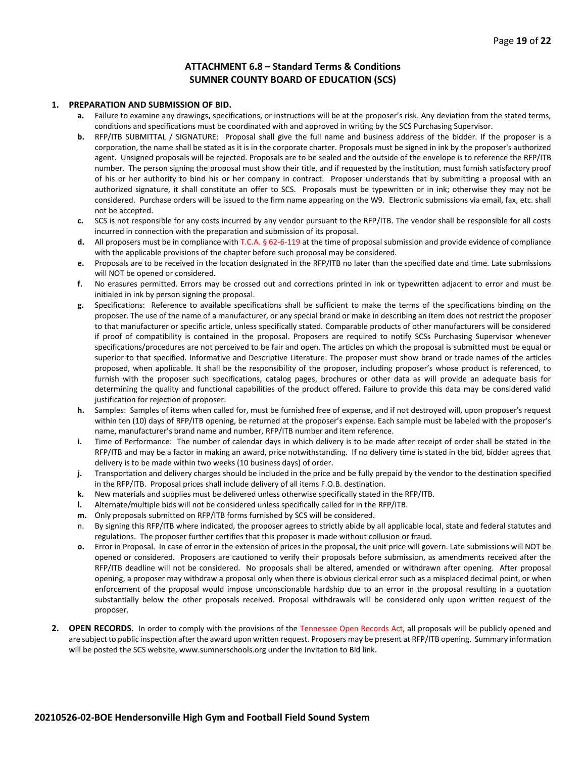#### **ATTACHMENT 6.8 – Standard Terms & Conditions SUMNER COUNTY BOARD OF EDUCATION (SCS)**

#### **1. PREPARATION AND SUBMISSION OF BID.**

- **a.** Failure to examine any drawings**,** specifications, or instructions will be at the proposer's risk. Any deviation from the stated terms, conditions and specifications must be coordinated with and approved in writing by the SCS Purchasing Supervisor.
- **b.** RFP/ITB SUBMITTAL / SIGNATURE: Proposal shall give the full name and business address of the bidder. If the proposer is a corporation, the name shall be stated as it is in the corporate charter. Proposals must be signed in ink by the proposer's authorized agent. Unsigned proposals will be rejected. Proposals are to be sealed and the outside of the envelope is to reference the RFP/ITB number. The person signing the proposal must show their title, and if requested by the institution, must furnish satisfactory proof of his or her authority to bind his or her company in contract. Proposer understands that by submitting a proposal with an authorized signature, it shall constitute an offer to SCS. Proposals must be typewritten or in ink; otherwise they may not be considered. Purchase orders will be issued to the firm name appearing on the W9. Electronic submissions via email, fax, etc. shall not be accepted.
- **c.** SCS is not responsible for any costs incurred by any vendor pursuant to the RFP/ITB. The vendor shall be responsible for all costs incurred in connection with the preparation and submission of its proposal.
- **d.** All proposers must be in compliance with T.C.A. § 62-6-119 at the time of proposal submission and provide evidence of compliance with the applicable provisions of the chapter before such proposal may be considered.
- **e.** Proposals are to be received in the location designated in the RFP/ITB no later than the specified date and time. Late submissions will NOT be opened or considered.
- **f.** No erasures permitted. Errors may be crossed out and corrections printed in ink or typewritten adjacent to error and must be initialed in ink by person signing the proposal.
- **g.** Specifications: Reference to available specifications shall be sufficient to make the terms of the specifications binding on the proposer. The use of the name of a manufacturer, or any special brand or make in describing an item does not restrict the proposer to that manufacturer or specific article, unless specifically stated. Comparable products of other manufacturers will be considered if proof of compatibility is contained in the proposal. Proposers are required to notify SCSs Purchasing Supervisor whenever specifications/procedures are not perceived to be fair and open. The articles on which the proposal is submitted must be equal or superior to that specified. Informative and Descriptive Literature: The proposer must show brand or trade names of the articles proposed, when applicable. It shall be the responsibility of the proposer, including proposer's whose product is referenced, to furnish with the proposer such specifications, catalog pages, brochures or other data as will provide an adequate basis for determining the quality and functional capabilities of the product offered. Failure to provide this data may be considered valid justification for rejection of proposer.
- **h.** Samples: Samples of items when called for, must be furnished free of expense, and if not destroyed will, upon proposer's request within ten (10) days of RFP/ITB opening, be returned at the proposer's expense. Each sample must be labeled with the proposer's name, manufacturer's brand name and number, RFP/ITB number and item reference.
- **i.** Time of Performance: The number of calendar days in which delivery is to be made after receipt of order shall be stated in the RFP/ITB and may be a factor in making an award, price notwithstanding. If no delivery time is stated in the bid, bidder agrees that delivery is to be made within two weeks (10 business days) of order.
- **j.** Transportation and delivery charges should be included in the price and be fully prepaid by the vendor to the destination specified in the RFP/ITB. Proposal prices shall include delivery of all items F.O.B. destination.
- **k.** New materials and supplies must be delivered unless otherwise specifically stated in the RFP/ITB.
- **l.** Alternate/multiple bids will not be considered unless specifically called for in the RFP/ITB.
- **m.** Only proposals submitted on RFP/ITB forms furnished by SCS will be considered.
- n. By signing this RFP/ITB where indicated, the proposer agrees to strictly abide by all applicable local, state and federal statutes and regulations. The proposer further certifies that this proposer is made without collusion or fraud.
- **o.** Error in Proposal. In case of error in the extension of prices in the proposal, the unit price will govern. Late submissions will NOT be opened or considered. Proposers are cautioned to verify their proposals before submission, as amendments received after the RFP/ITB deadline will not be considered. No proposals shall be altered, amended or withdrawn after opening. After proposal opening, a proposer may withdraw a proposal only when there is obvious clerical error such as a misplaced decimal point, or when enforcement of the proposal would impose unconscionable hardship due to an error in the proposal resulting in a quotation substantially below the other proposals received. Proposal withdrawals will be considered only upon written request of the proposer.
- **2. OPEN RECORDS.** In order to comply with the provisions of the Tennessee Open Records Act, all proposals will be publicly opened and are subject to public inspection after the award upon written request. Proposers may be present at RFP/ITB opening. Summary information will be posted the SCS website, www.sumnerschools.org under the Invitation to Bid link.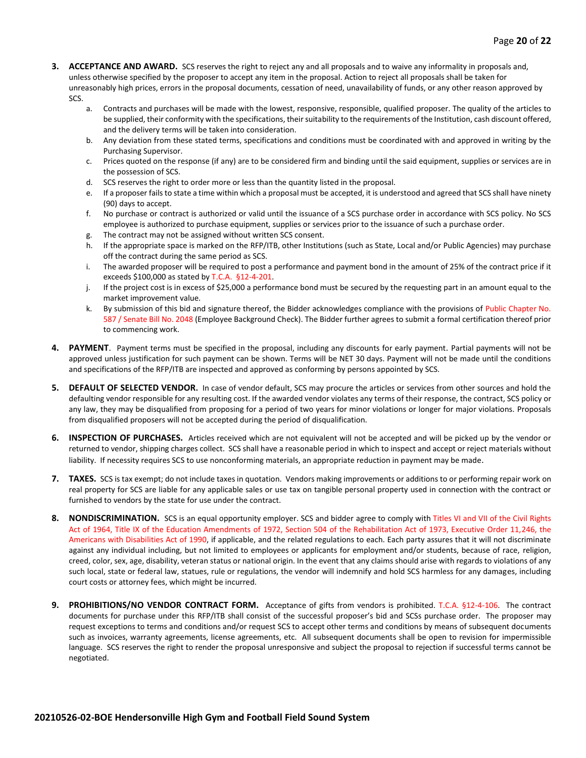- **3. ACCEPTANCE AND AWARD.** SCS reserves the right to reject any and all proposals and to waive any informality in proposals and, unless otherwise specified by the proposer to accept any item in the proposal. Action to reject all proposals shall be taken for unreasonably high prices, errors in the proposal documents, cessation of need, unavailability of funds, or any other reason approved by SCS.
	- a. Contracts and purchases will be made with the lowest, responsive, responsible, qualified proposer. The quality of the articles to be supplied, their conformity with the specifications, their suitability to the requirements of the Institution, cash discount offered, and the delivery terms will be taken into consideration.
	- b. Any deviation from these stated terms, specifications and conditions must be coordinated with and approved in writing by the Purchasing Supervisor.
	- c. Prices quoted on the response (if any) are to be considered firm and binding until the said equipment, supplies or services are in the possession of SCS.
	- d. SCS reserves the right to order more or less than the quantity listed in the proposal.
	- e. If a proposer fails to state a time within which a proposal must be accepted, it is understood and agreed that SCS shall have ninety (90) days to accept.
	- f. No purchase or contract is authorized or valid until the issuance of a SCS purchase order in accordance with SCS policy. No SCS employee is authorized to purchase equipment, supplies or services prior to the issuance of such a purchase order.
	- g. The contract may not be assigned without written SCS consent.
	- h. If the appropriate space is marked on the RFP/ITB, other Institutions (such as State, Local and/or Public Agencies) may purchase off the contract during the same period as SCS.
	- i. The awarded proposer will be required to post a performance and payment bond in the amount of 25% of the contract price if it exceeds \$100,000 as stated by T.C.A. §12-4-201.
	- j. If the project cost is in excess of \$25,000 a performance bond must be secured by the requesting part in an amount equal to the market improvement value.
	- k. By submission of this bid and signature thereof, the Bidder acknowledges compliance with the provisions of Public Chapter No. 587 / Senate Bill No. 2048 (Employee Background Check). The Bidder further agrees to submit a formal certification thereof prior to commencing work.
- **4. PAYMENT**. Payment terms must be specified in the proposal, including any discounts for early payment. Partial payments will not be approved unless justification for such payment can be shown. Terms will be NET 30 days. Payment will not be made until the conditions and specifications of the RFP/ITB are inspected and approved as conforming by persons appointed by SCS.
- **5. DEFAULT OF SELECTED VENDOR.** In case of vendor default, SCS may procure the articles or services from other sources and hold the defaulting vendor responsible for any resulting cost. If the awarded vendor violates any terms of their response, the contract, SCS policy or any law, they may be disqualified from proposing for a period of two years for minor violations or longer for major violations. Proposals from disqualified proposers will not be accepted during the period of disqualification.
- **6. INSPECTION OF PURCHASES.** Articles received which are not equivalent will not be accepted and will be picked up by the vendor or returned to vendor, shipping charges collect. SCS shall have a reasonable period in which to inspect and accept or reject materials without liability. If necessity requires SCS to use nonconforming materials, an appropriate reduction in payment may be made.
- **7. TAXES.** SCS is tax exempt; do not include taxes in quotation. Vendors making improvements or additions to or performing repair work on real property for SCS are liable for any applicable sales or use tax on tangible personal property used in connection with the contract or furnished to vendors by the state for use under the contract.
- **8. NONDISCRIMINATION.** SCS is an equal opportunity employer. SCS and bidder agree to comply with Titles VI and VII of the Civil Rights Act of 1964, Title IX of the Education Amendments of 1972, Section 504 of the Rehabilitation Act of 1973, Executive Order 11,246, the Americans with Disabilities Act of 1990, if applicable, and the related regulations to each. Each party assures that it will not discriminate against any individual including, but not limited to employees or applicants for employment and/or students, because of race, religion, creed, color, sex, age, disability, veteran status or national origin. In the event that any claims should arise with regards to violations of any such local, state or federal law, statues, rule or regulations, the vendor will indemnify and hold SCS harmless for any damages, including court costs or attorney fees, which might be incurred.
- **9. PROHIBITIONS/NO VENDOR CONTRACT FORM.** Acceptance of gifts from vendors is prohibited. T.C.A. §12-4-106. The contract documents for purchase under this RFP/ITB shall consist of the successful proposer's bid and SCSs purchase order. The proposer may request exceptions to terms and conditions and/or request SCS to accept other terms and conditions by means of subsequent documents such as invoices, warranty agreements, license agreements, etc. All subsequent documents shall be open to revision for impermissible language. SCS reserves the right to render the proposal unresponsive and subject the proposal to rejection if successful terms cannot be negotiated.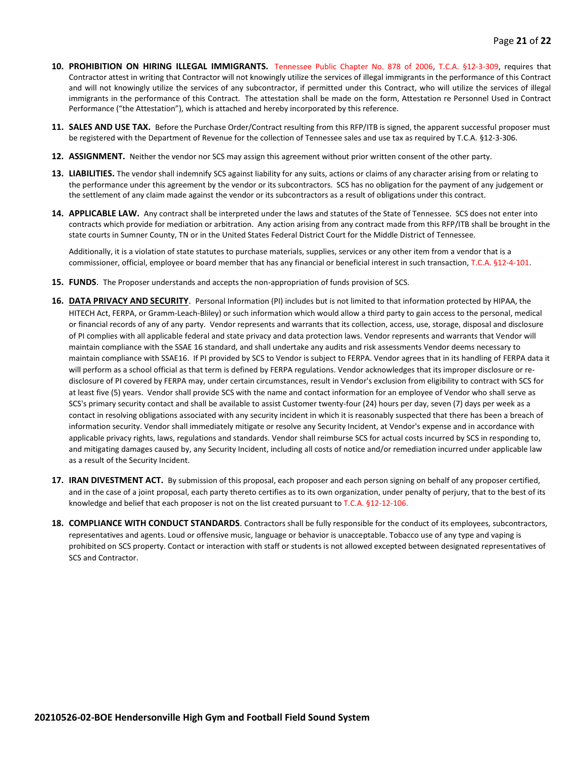- **10. PROHIBITION ON HIRING ILLEGAL IMMIGRANTS.** Tennessee Public Chapter No. 878 of 2006, T.C.A. §12-3-309, requires that Contractor attest in writing that Contractor will not knowingly utilize the services of illegal immigrants in the performance of this Contract and will not knowingly utilize the services of any subcontractor, if permitted under this Contract, who will utilize the services of illegal immigrants in the performance of this Contract. The attestation shall be made on the form, Attestation re Personnel Used in Contract Performance ("the Attestation"), which is attached and hereby incorporated by this reference.
- **11. SALES AND USE TAX.** Before the Purchase Order/Contract resulting from this RFP/ITB is signed, the apparent successful proposer must be registered with the Department of Revenue for the collection of Tennessee sales and use tax as required by T.C.A. §12-3-306.
- **12. ASSIGNMENT.** Neither the vendor nor SCS may assign this agreement without prior written consent of the other party.
- **13. LIABILITIES.** The vendor shall indemnify SCS against liability for any suits, actions or claims of any character arising from or relating to the performance under this agreement by the vendor or its subcontractors. SCS has no obligation for the payment of any judgement or the settlement of any claim made against the vendor or its subcontractors as a result of obligations under this contract.
- **14. APPLICABLE LAW.** Any contract shall be interpreted under the laws and statutes of the State of Tennessee. SCS does not enter into contracts which provide for mediation or arbitration. Any action arising from any contract made from this RFP/ITB shall be brought in the state courts in Sumner County, TN or in the United States Federal District Court for the Middle District of Tennessee.

Additionally, it is a violation of state statutes to purchase materials, supplies, services or any other item from a vendor that is a commissioner, official, employee or board member that has any financial or beneficial interest in such transaction, T.C.A. §12-4-101.

- **15. FUNDS**. The Proposer understands and accepts the non-appropriation of funds provision of SCS.
- **16. DATA PRIVACY AND SECURITY**. Personal Information (PI) includes but is not limited to that information protected by HIPAA, the HITECH Act, FERPA, or Gramm-Leach-Bliley) or such information which would allow a third party to gain access to the personal, medical or financial records of any of any party. Vendor represents and warrants that its collection, access, use, storage, disposal and disclosure of PI complies with all applicable federal and state privacy and data protection laws. Vendor represents and warrants that Vendor will maintain compliance with the SSAE 16 standard, and shall undertake any audits and risk assessments Vendor deems necessary to maintain compliance with SSAE16. If PI provided by SCS to Vendor is subject to FERPA. Vendor agrees that in its handling of FERPA data it will perform as a school official as that term is defined by FERPA regulations. Vendor acknowledges that its improper disclosure or redisclosure of PI covered by FERPA may, under certain circumstances, result in Vendor's exclusion from eligibility to contract with SCS for at least five (5) years. Vendor shall provide SCS with the name and contact information for an employee of Vendor who shall serve as SCS's primary security contact and shall be available to assist Customer twenty-four (24) hours per day, seven (7) days per week as a contact in resolving obligations associated with any security incident in which it is reasonably suspected that there has been a breach of information security. Vendor shall immediately mitigate or resolve any Security Incident, at Vendor's expense and in accordance with applicable privacy rights, laws, regulations and standards. Vendor shall reimburse SCS for actual costs incurred by SCS in responding to, and mitigating damages caused by, any Security Incident, including all costs of notice and/or remediation incurred under applicable law as a result of the Security Incident.
- **17. IRAN DIVESTMENT ACT.** By submission of this proposal, each proposer and each person signing on behalf of any proposer certified, and in the case of a joint proposal, each party thereto certifies as to its own organization, under penalty of perjury, that to the best of its knowledge and belief that each proposer is not on the list created pursuant to T.C.A. §12-12-106.
- **18. COMPLIANCE WITH CONDUCT STANDARDS**. Contractors shall be fully responsible for the conduct of its employees, subcontractors, representatives and agents. Loud or offensive music, language or behavior is unacceptable. Tobacco use of any type and vaping is prohibited on SCS property. Contact or interaction with staff or students is not allowed excepted between designated representatives of SCS and Contractor.